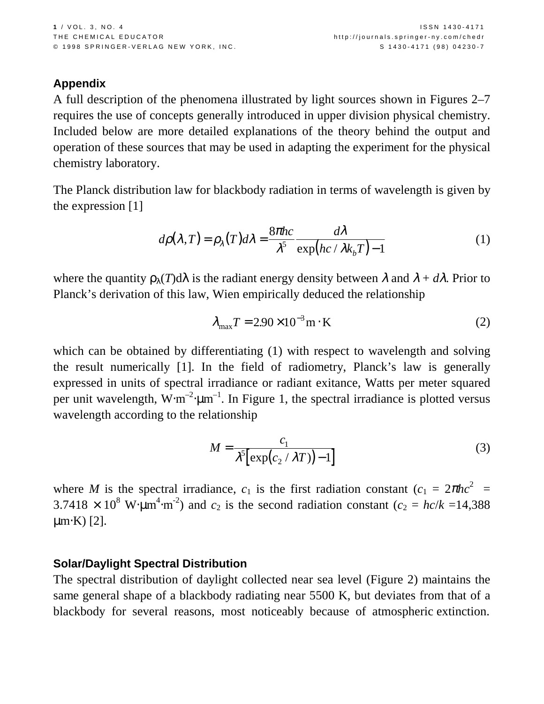# **Appendix**

A full description of the phenomena illustrated by light sources shown in Figures 2–7 requires the use of concepts generally introduced in upper division physical chemistry. Included below are more detailed explanations of the theory behind the output and operation of these sources that may be used in adapting the experiment for the physical chemistry laboratory.

The Planck distribution law for blackbody radiation in terms of wavelength is given by the expression [1]

$$
d\rho(\lambda, T) = \rho_{\lambda}(T)d\lambda = \frac{8\pi hc}{\lambda^5} \frac{d\lambda}{\exp(hc/\lambda k_b T) - 1}
$$
 (1)

where the quantity  $\rho_{\lambda}(T)d\lambda$  is the radiant energy density between  $\lambda$  and  $\lambda + d\lambda$ . Prior to Planck's derivation of this law, Wien empirically deduced the relationship

$$
\lambda_{\text{max}} T = 2.90 \times 10^{-3} \,\text{m} \cdot \text{K} \tag{2}
$$

which can be obtained by differentiating (1) with respect to wavelength and solving the result numerically [1]. In the field of radiometry, Planck's law is generally expressed in units of spectral irradiance or radiant exitance, Watts per meter squared per unit wavelength,  $W \cdot m^{-2} \cdot \mu m^{-1}$ . In Figure 1, the spectral irradiance is plotted versus wavelength according to the relationship

$$
M = \frac{c_1}{\lambda^5 \left[ \exp(c_2 / \lambda T) - 1 \right]} \tag{3}
$$

where *M* is the spectral irradiance,  $c_1$  is the first radiation constant  $(c_1 = 2\pi hc^2)$  $3.7418 \times 10^8$  W⋅ $\mu$ m<sup>4</sup>⋅m<sup>-2</sup>) and *c*<sub>2</sub> is the second radiation constant (*c*<sub>2</sub> = *hc*/*k* =14,388  $\mu$ m⋅K) [2].

## **Solar/Daylight Spectral Distribution**

The spectral distribution of daylight collected near sea level (Figure 2) maintains the same general shape of a blackbody radiating near 5500 K, but deviates from that of a blackbody for several reasons, most noticeably because of atmospheric extinction.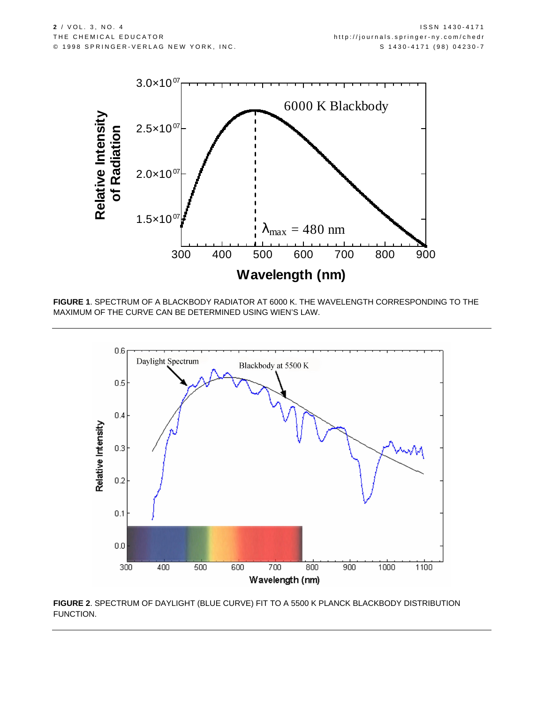

**FIGURE 1**. SPECTRUM OF A BLACKBODY RADIATOR AT 6000 K. THE WAVELENGTH CORRESPONDING TO THE MAXIMUM OF THE CURVE CAN BE DETERMINED USING WIEN'S LAW.



**FIGURE 2**. SPECTRUM OF DAYLIGHT (BLUE CURVE) FIT TO A 5500 K PLANCK BLACKBODY DISTRIBUTION FUNCTION.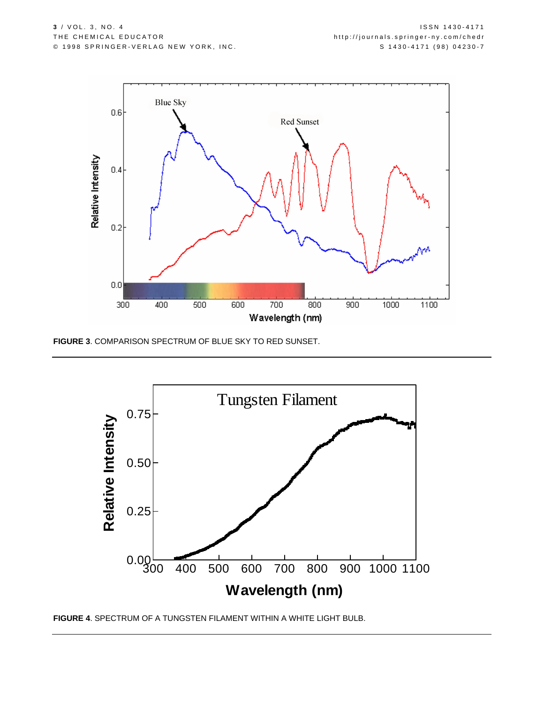

**FIGURE 3**. COMPARISON SPECTRUM OF BLUE SKY TO RED SUNSET.



**FIGURE 4**. SPECTRUM OF A TUNGSTEN FILAMENT WITHIN A WHITE LIGHT BULB.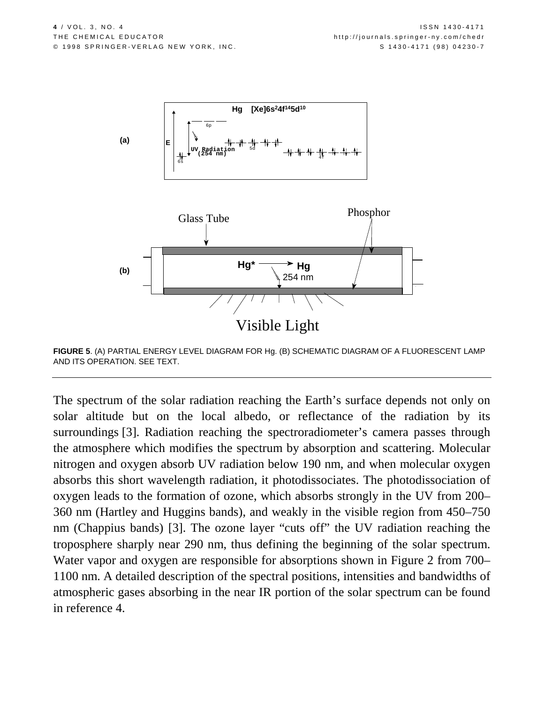

**FIGURE 5**. (A) PARTIAL ENERGY LEVEL DIAGRAM FOR Hg. (B) SCHEMATIC DIAGRAM OF A FLUORESCENT LAMP AND ITS OPERATION. SEE TEXT.

The spectrum of the solar radiation reaching the Earth's surface depends not only on solar altitude but on the local albedo, or reflectance of the radiation by its surroundings [3]. Radiation reaching the spectroradiometer's camera passes through the atmosphere which modifies the spectrum by absorption and scattering. Molecular nitrogen and oxygen absorb UV radiation below 190 nm, and when molecular oxygen absorbs this short wavelength radiation, it photodissociates. The photodissociation of oxygen leads to the formation of ozone, which absorbs strongly in the UV from 200– 360 nm (Hartley and Huggins bands), and weakly in the visible region from 450–750 nm (Chappius bands) [3]. The ozone layer "cuts off" the UV radiation reaching the troposphere sharply near 290 nm, thus defining the beginning of the solar spectrum. Water vapor and oxygen are responsible for absorptions shown in Figure 2 from 700– 1100 nm. A detailed description of the spectral positions, intensities and bandwidths of atmospheric gases absorbing in the near IR portion of the solar spectrum can be found in reference 4.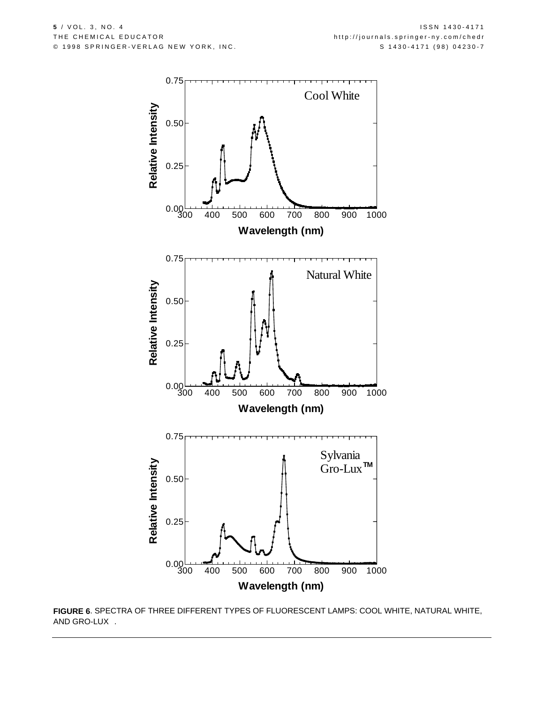

**FIGURE 6**. SPECTRA OF THREE DIFFERENT TYPES OF FLUORESCENT LAMPS: COOL WHITE, NATURAL WHITE, AND GRO-LUX $^{\text{TM}}$ .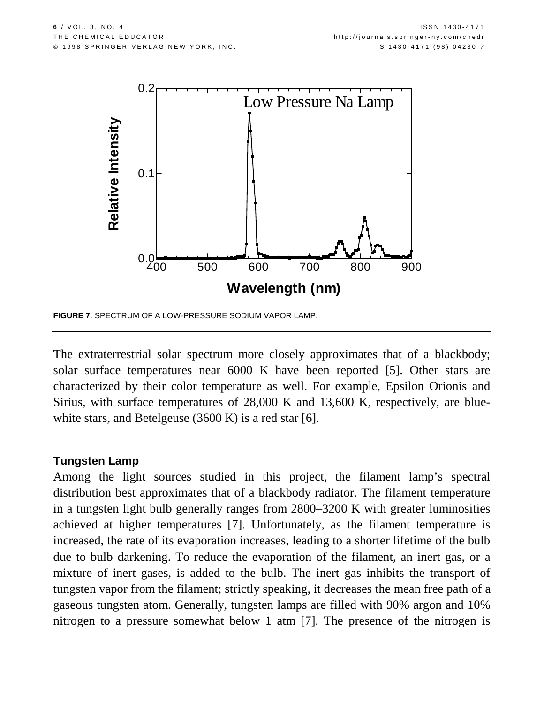

**FIGURE 7**. SPECTRUM OF A LOW-PRESSURE SODIUM VAPOR LAMP.

The extraterrestrial solar spectrum more closely approximates that of a blackbody; solar surface temperatures near 6000 K have been reported [5]. Other stars are characterized by their color temperature as well. For example, Epsilon Orionis and Sirius, with surface temperatures of 28,000 K and 13,600 K, respectively, are bluewhite stars, and Betelgeuse (3600 K) is a red star [6].

## **Tungsten Lamp**

Among the light sources studied in this project, the filament lamp's spectral distribution best approximates that of a blackbody radiator. The filament temperature in a tungsten light bulb generally ranges from 2800–3200 K with greater luminosities achieved at higher temperatures [7]. Unfortunately, as the filament temperature is increased, the rate of its evaporation increases, leading to a shorter lifetime of the bulb due to bulb darkening. To reduce the evaporation of the filament, an inert gas, or a mixture of inert gases, is added to the bulb. The inert gas inhibits the transport of tungsten vapor from the filament; strictly speaking, it decreases the mean free path of a gaseous tungsten atom. Generally, tungsten lamps are filled with 90% argon and 10% nitrogen to a pressure somewhat below 1 atm [7]. The presence of the nitrogen is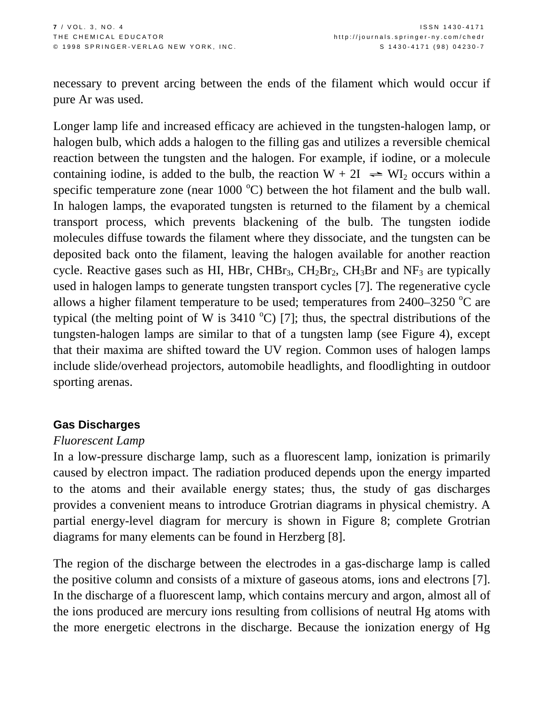necessary to prevent arcing between the ends of the filament which would occur if pure Ar was used.

Longer lamp life and increased efficacy are achieved in the tungsten-halogen lamp, or halogen bulb, which adds a halogen to the filling gas and utilizes a reversible chemical reaction between the tungsten and the halogen. For example, if iodine, or a molecule containing iodine, is added to the bulb, the reaction  $W + 2I \rightleftharpoons WI_2$  occurs within a specific temperature zone (near  $1000\text{ °C}$ ) between the hot filament and the bulb wall. In halogen lamps, the evaporated tungsten is returned to the filament by a chemical transport process, which prevents blackening of the bulb. The tungsten iodide molecules diffuse towards the filament where they dissociate, and the tungsten can be deposited back onto the filament, leaving the halogen available for another reaction cycle. Reactive gases such as HI, HBr, CHBr<sub>3</sub>, CH<sub>2</sub>Br<sub>2</sub>, CH<sub>3</sub>Br and NF<sub>3</sub> are typically used in halogen lamps to generate tungsten transport cycles [7]. The regenerative cycle allows a higher filament temperature to be used; temperatures from  $2400-3250$  °C are typical (the melting point of W is  $3410^{\circ}$ C) [7]; thus, the spectral distributions of the tungsten-halogen lamps are similar to that of a tungsten lamp (see Figure 4), except that their maxima are shifted toward the UV region. Common uses of halogen lamps include slide/overhead projectors, automobile headlights, and floodlighting in outdoor sporting arenas.

## **Gas Discharges**

#### *Fluorescent Lamp*

In a low-pressure discharge lamp, such as a fluorescent lamp, ionization is primarily caused by electron impact. The radiation produced depends upon the energy imparted to the atoms and their available energy states; thus, the study of gas discharges provides a convenient means to introduce Grotrian diagrams in physical chemistry. A partial energy-level diagram for mercury is shown in Figure 8; complete Grotrian diagrams for many elements can be found in Herzberg [8].

The region of the discharge between the electrodes in a gas-discharge lamp is called the positive column and consists of a mixture of gaseous atoms, ions and electrons [7]. In the discharge of a fluorescent lamp, which contains mercury and argon, almost all of the ions produced are mercury ions resulting from collisions of neutral Hg atoms with the more energetic electrons in the discharge. Because the ionization energy of Hg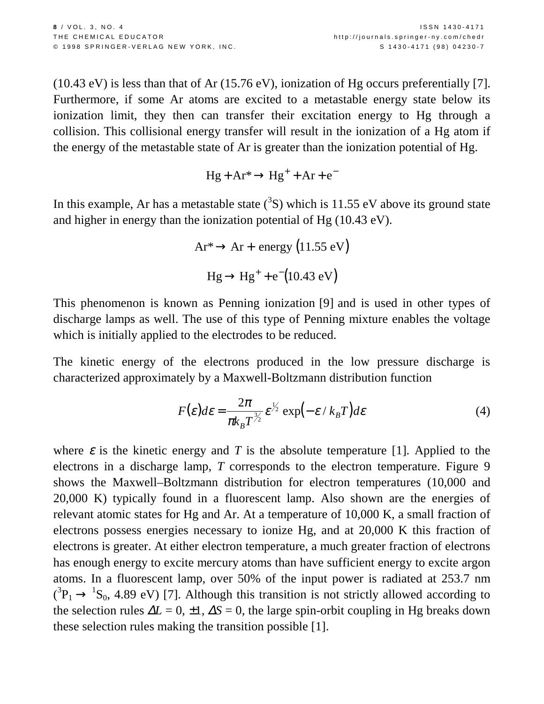(10.43 eV) is less than that of Ar (15.76 eV), ionization of Hg occurs preferentially [7]. Furthermore, if some Ar atoms are excited to a metastable energy state below its ionization limit, they then can transfer their excitation energy to Hg through a collision. This collisional energy transfer will result in the ionization of a Hg atom if the energy of the metastable state of Ar is greater than the ionization potential of Hg.

$$
Hg + Ar^* \rightarrow Hg^+ + Ar + e^-
$$

In this example, Ar has a metastable state  $({}^{3}S)$  which is 11.55 eV above its ground state and higher in energy than the ionization potential of Hg (10.43 eV).

$$
Ar^* \to Ar + energy (11.55 \text{ eV})
$$

$$
Hg \to Hg^+ + e^-(10.43 \text{ eV})
$$

This phenomenon is known as Penning ionization [9] and is used in other types of discharge lamps as well. The use of this type of Penning mixture enables the voltage which is initially applied to the electrodes to be reduced.

The kinetic energy of the electrons produced in the low pressure discharge is characterized approximately by a Maxwell-Boltzmann distribution function

$$
F(\varepsilon)d\varepsilon = \frac{2\pi}{\pi k_B T^{\frac{3}{2}}} \varepsilon^{\frac{1}{2}} \exp\left(-\varepsilon / k_B T\right) d\varepsilon \tag{4}
$$

where  $\varepsilon$  is the kinetic energy and *T* is the absolute temperature [1]. Applied to the electrons in a discharge lamp, *T* corresponds to the electron temperature. Figure 9 shows the Maxwell–Boltzmann distribution for electron temperatures (10,000 and 20,000 K) typically found in a fluorescent lamp. Also shown are the energies of relevant atomic states for Hg and Ar. At a temperature of 10,000 K, a small fraction of electrons possess energies necessary to ionize Hg, and at 20,000 K this fraction of electrons is greater. At either electron temperature, a much greater fraction of electrons has enough energy to excite mercury atoms than have sufficient energy to excite argon atoms. In a fluorescent lamp, over 50% of the input power is radiated at 253.7 nm  $({}^{3}P_{1} \rightarrow {}^{1}S_{0}$ , 4.89 eV) [7]. Although this transition is not strictly allowed according to the selection rules  $\Delta L = 0, \pm 1, \Delta S = 0$ , the large spin-orbit coupling in Hg breaks down these selection rules making the transition possible [1].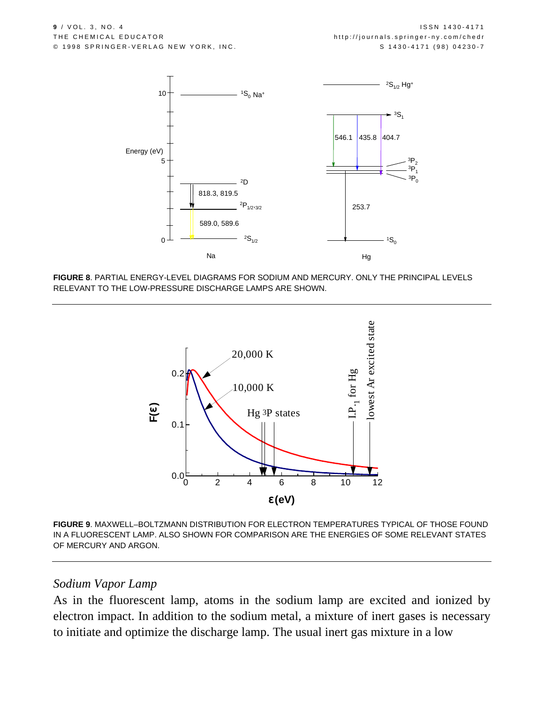

**FIGURE 8**. PARTIAL ENERGY-LEVEL DIAGRAMS FOR SODIUM AND MERCURY. ONLY THE PRINCIPAL LEVELS RELEVANT TO THE LOW-PRESSURE DISCHARGE LAMPS ARE SHOWN.



**FIGURE 9**. MAXWELL–BOLTZMANN DISTRIBUTION FOR ELECTRON TEMPERATURES TYPICAL OF THOSE FOUND IN A FLUORESCENT LAMP. ALSO SHOWN FOR COMPARISON ARE THE ENERGIES OF SOME RELEVANT STATES OF MERCURY AND ARGON.

#### *Sodium Vapor Lamp*

As in the fluorescent lamp, atoms in the sodium lamp are excited and ionized by electron impact. In addition to the sodium metal, a mixture of inert gases is necessary to initiate and optimize the discharge lamp. The usual inert gas mixture in a low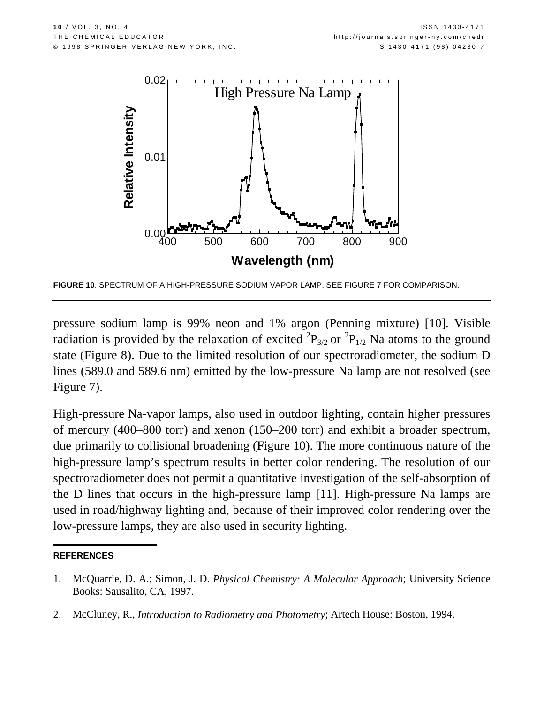

**FIGURE 10**. SPECTRUM OF A HIGH-PRESSURE SODIUM VAPOR LAMP. SEE FIGURE 7 FOR COMPARISON.

pressure sodium lamp is 99% neon and 1% argon (Penning mixture) [10]. Visible radiation is provided by the relaxation of excited  ${}^{2}P_{3/2}$  or  ${}^{2}P_{1/2}$  Na atoms to the ground state (Figure 8). Due to the limited resolution of our spectroradiometer, the sodium D lines (589.0 and 589.6 nm) emitted by the low-pressure Na lamp are not resolved (see Figure 7).

High-pressure Na-vapor lamps, also used in outdoor lighting, contain higher pressures of mercury (400–800 torr) and xenon (150–200 torr) and exhibit a broader spectrum, due primarily to collisional broadening (Figure 10). The more continuous nature of the high-pressure lamp's spectrum results in better color rendering. The resolution of our spectroradiometer does not permit a quantitative investigation of the self-absorption of the D lines that occurs in the high-pressure lamp [11]. High-pressure Na lamps are used in road/highway lighting and, because of their improved color rendering over the low-pressure lamps, they are also used in security lighting.

#### **REFERENCES**

2. McCluney, R., *Introduction to Radiometry and Photometry*; Artech House: Boston, 1994.

<sup>1.</sup> McQuarrie, D. A.; Simon, J. D. *Physical Chemistry: A Molecular Approach*; University Science Books: Sausalito, CA, 1997.